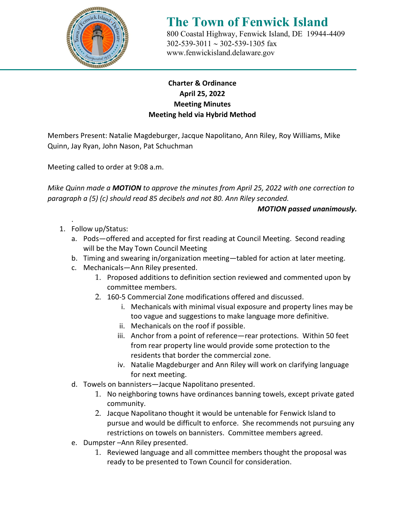

# **The Town of Fenwick Island** 800 Coastal Highway, Fenwick Island, DE 19944-4409

 302-539-3011 ∼ 302-539-1305 fax [www.fenwickisland.delaware.gov](http://www.fenwickisland.delaware.gov/)

## **Charter & Ordinance April 25, 2022 Meeting Minutes Meeting held via Hybrid Method**

Members Present: Natalie Magdeburger, Jacque Napolitano, Ann Riley, Roy Williams, Mike Quinn, Jay Ryan, John Nason, Pat Schuchman

Meeting called to order at 9:08 a.m.

*Mike Quinn made a MOTION to approve the minutes from April 25, 2022 with one correction to paragraph a (5) (c) should read 85 decibels and not 80. Ann Riley seconded.* 

### *MOTION passed unanimously.*

- . 1. Follow up/Status:
	- a. Pods—offered and accepted for first reading at Council Meeting. Second reading will be the May Town Council Meeting
	- b. Timing and swearing in/organization meeting—tabled for action at later meeting.
	- c. Mechanicals—Ann Riley presented.
		- 1. Proposed additions to definition section reviewed and commented upon by committee members.
		- 2. 160-5 Commercial Zone modifications offered and discussed.
			- i. Mechanicals with minimal visual exposure and property lines may be too vague and suggestions to make language more definitive.
			- ii. Mechanicals on the roof if possible.
			- iii. Anchor from a point of reference—rear protections. Within 50 feet from rear property line would provide some protection to the residents that border the commercial zone.
			- iv. Natalie Magdeburger and Ann Riley will work on clarifying language for next meeting.
	- d. Towels on bannisters—Jacque Napolitano presented.
		- 1. No neighboring towns have ordinances banning towels, except private gated community.
		- 2. Jacque Napolitano thought it would be untenable for Fenwick Island to pursue and would be difficult to enforce. She recommends not pursuing any restrictions on towels on bannisters. Committee members agreed.
	- e. Dumpster –Ann Riley presented.
		- 1. Reviewed language and all committee members thought the proposal was ready to be presented to Town Council for consideration.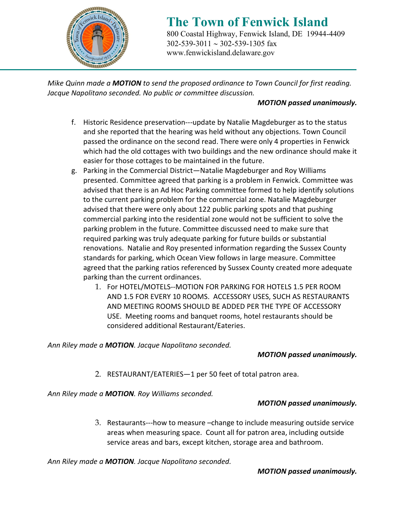

# **The Town of Fenwick Island** 800 Coastal Highway, Fenwick Island, DE 19944-4409

 302-539-3011 ∼ 302-539-1305 fax [www.fenwickisland.delaware.gov](http://www.fenwickisland.delaware.gov/)

*Mike Quinn made a MOTION to send the proposed ordinance to Town Council for first reading. Jacque Napolitano seconded. No public or committee discussion.*

#### *MOTION passed unanimously.*

- f. Historic Residence preservation---update by Natalie Magdeburger as to the status and she reported that the hearing was held without any objections. Town Council passed the ordinance on the second read. There were only 4 properties in Fenwick which had the old cottages with two buildings and the new ordinance should make it easier for those cottages to be maintained in the future.
- g. Parking in the Commercial District—Natalie Magdeburger and Roy Williams presented. Committee agreed that parking is a problem in Fenwick. Committee was advised that there is an Ad Hoc Parking committee formed to help identify solutions to the current parking problem for the commercial zone. Natalie Magdeburger advised that there were only about 122 public parking spots and that pushing commercial parking into the residential zone would not be sufficient to solve the parking problem in the future. Committee discussed need to make sure that required parking was truly adequate parking for future builds or substantial renovations. Natalie and Roy presented information regarding the Sussex County standards for parking, which Ocean View follows in large measure. Committee agreed that the parking ratios referenced by Sussex County created more adequate parking than the current ordinances.
	- 1. For HOTEL/MOTELS--MOTION FOR PARKING FOR HOTELS 1.5 PER ROOM AND 1.5 FOR EVERY 10 ROOMS. ACCESSORY USES, SUCH AS RESTAURANTS AND MEETING ROOMS SHOULD BE ADDED PER THE TYPE OF ACCESSORY USE. Meeting rooms and banquet rooms, hotel restaurants should be considered additional Restaurant/Eateries.

#### *Ann Riley made a MOTION. Jacque Napolitano seconded.*

#### *MOTION passed unanimously.*

2. RESTAURANT/EATERIES—1 per 50 feet of total patron area.

*Ann Riley made a MOTION. Roy Williams seconded.* 

#### *MOTION passed unanimously.*

3. Restaurants---how to measure –change to include measuring outside service areas when measuring space. Count all for patron area, including outside service areas and bars, except kitchen, storage area and bathroom.

*Ann Riley made a MOTION. Jacque Napolitano seconded.*